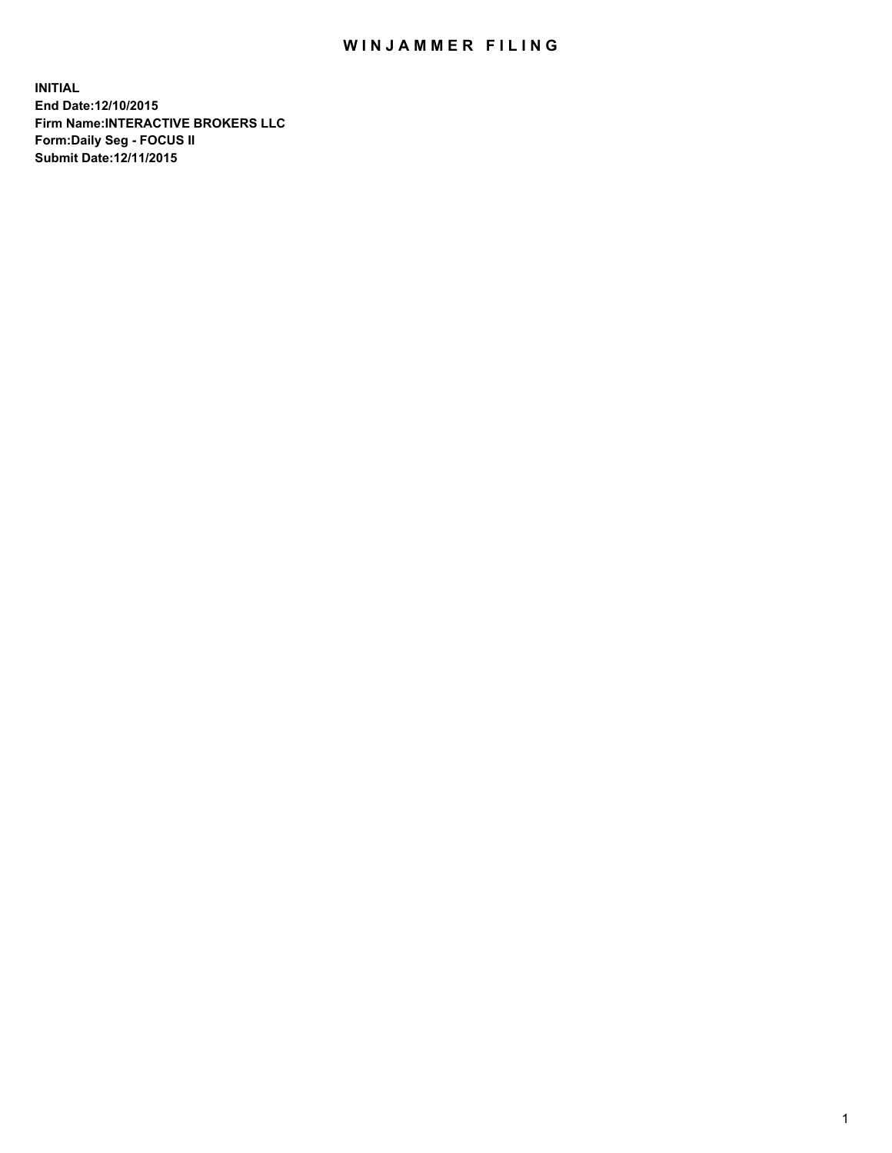## WIN JAMMER FILING

**INITIAL End Date:12/10/2015 Firm Name:INTERACTIVE BROKERS LLC Form:Daily Seg - FOCUS II Submit Date:12/11/2015**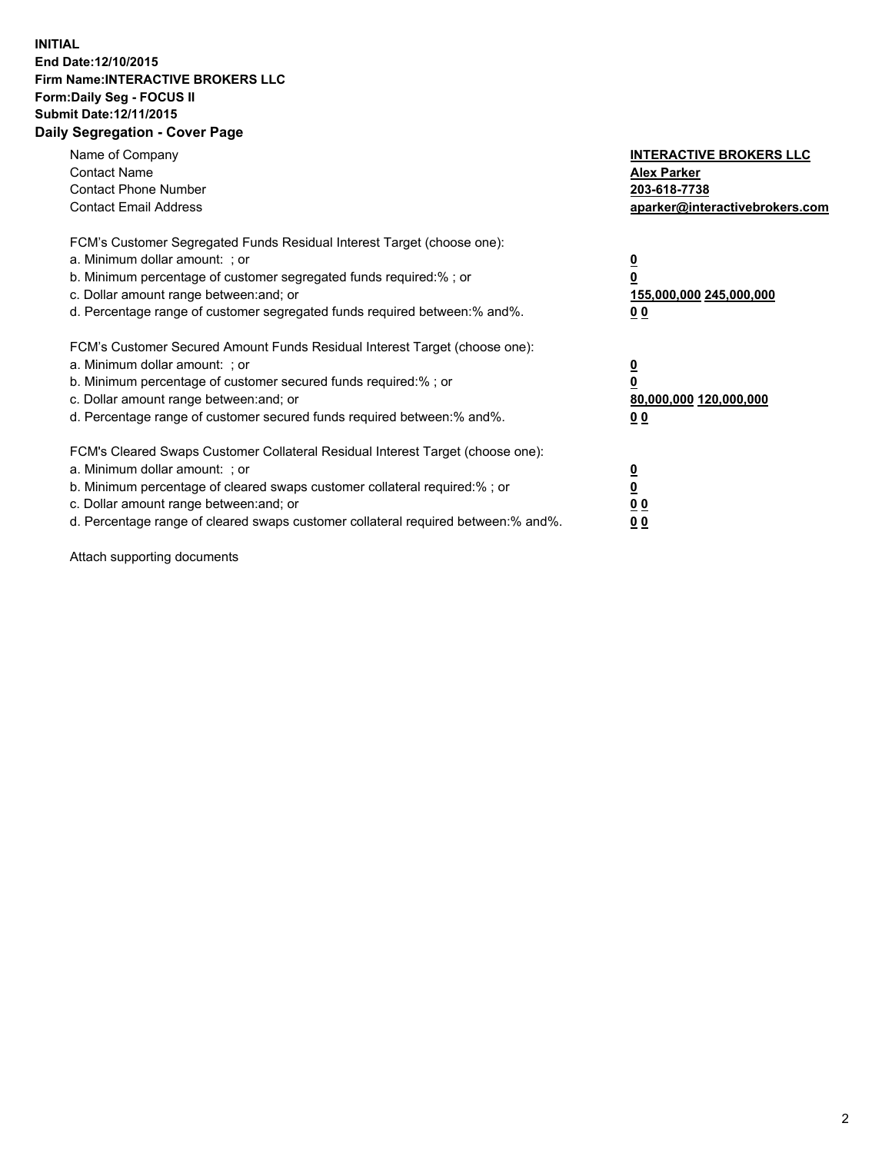## **INITIAL End Date:12/10/2015 Firm Name:INTERACTIVE BROKERS LLC Form:Daily Seg - FOCUS II Submit Date:12/11/2015 Daily Segregation - Cover Page**

| Name of Company<br><b>Contact Name</b><br><b>Contact Phone Number</b><br><b>Contact Email Address</b>                                                                                                                                                                                                                         | <b>INTERACTIVE BROKERS LLC</b><br><b>Alex Parker</b><br>203-618-7738<br>aparker@interactivebrokers.com |
|-------------------------------------------------------------------------------------------------------------------------------------------------------------------------------------------------------------------------------------------------------------------------------------------------------------------------------|--------------------------------------------------------------------------------------------------------|
| FCM's Customer Segregated Funds Residual Interest Target (choose one):<br>a. Minimum dollar amount: ; or<br>b. Minimum percentage of customer segregated funds required:% ; or<br>c. Dollar amount range between: and; or<br>d. Percentage range of customer segregated funds required between:% and%.                        | <u>0</u><br><u>155,000,000 245,000,000</u><br>00                                                       |
| FCM's Customer Secured Amount Funds Residual Interest Target (choose one):<br>a. Minimum dollar amount: ; or<br>b. Minimum percentage of customer secured funds required:% ; or<br>c. Dollar amount range between: and; or<br>d. Percentage range of customer secured funds required between: % and %.                        | $\overline{\mathbf{0}}$<br>80,000,000 120,000,000<br>00                                                |
| FCM's Cleared Swaps Customer Collateral Residual Interest Target (choose one):<br>a. Minimum dollar amount: ; or<br>b. Minimum percentage of cleared swaps customer collateral required:%; or<br>c. Dollar amount range between: and; or<br>d. Percentage range of cleared swaps customer collateral required between:% and%. | <u>0</u><br>0 <sub>0</sub><br><u>00</u>                                                                |

Attach supporting documents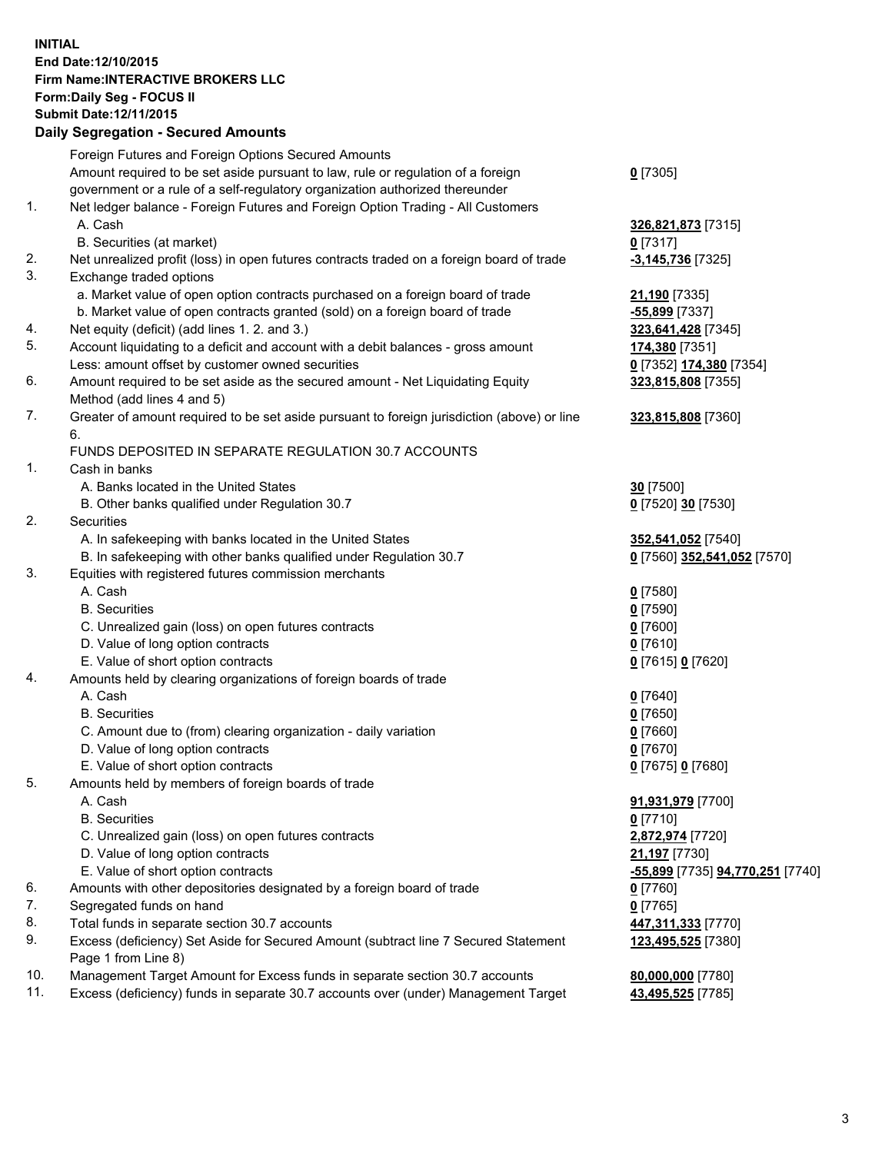## **INITIAL End Date:12/10/2015 Firm Name:INTERACTIVE BROKERS LLC Form:Daily Seg - FOCUS II Submit Date:12/11/2015 Daily Segregation - Secured Amounts**

|     | Daily Jegiegation - Jeculeu Alliounts                                                       |                                  |
|-----|---------------------------------------------------------------------------------------------|----------------------------------|
|     | Foreign Futures and Foreign Options Secured Amounts                                         |                                  |
|     | Amount required to be set aside pursuant to law, rule or regulation of a foreign            | $0$ [7305]                       |
|     | government or a rule of a self-regulatory organization authorized thereunder                |                                  |
| 1.  | Net ledger balance - Foreign Futures and Foreign Option Trading - All Customers             |                                  |
|     | A. Cash                                                                                     | 326,821,873 [7315]               |
|     | B. Securities (at market)                                                                   | $0$ [7317]                       |
| 2.  | Net unrealized profit (loss) in open futures contracts traded on a foreign board of trade   | $-3,145,736$ [7325]              |
| 3.  | Exchange traded options                                                                     |                                  |
|     | a. Market value of open option contracts purchased on a foreign board of trade              |                                  |
|     | b. Market value of open contracts granted (sold) on a foreign board of trade                | 21,190 [7335]                    |
|     |                                                                                             | -55,899 [7337]                   |
| 4.  | Net equity (deficit) (add lines 1. 2. and 3.)                                               | 323,641,428 [7345]               |
| 5.  | Account liquidating to a deficit and account with a debit balances - gross amount           | 174,380 [7351]                   |
|     | Less: amount offset by customer owned securities                                            | 0 [7352] 174,380 [7354]          |
| 6.  | Amount required to be set aside as the secured amount - Net Liquidating Equity              | 323,815,808 [7355]               |
|     | Method (add lines 4 and 5)                                                                  |                                  |
| 7.  | Greater of amount required to be set aside pursuant to foreign jurisdiction (above) or line | 323,815,808 [7360]               |
|     | 6.                                                                                          |                                  |
|     | FUNDS DEPOSITED IN SEPARATE REGULATION 30.7 ACCOUNTS                                        |                                  |
| 1.  | Cash in banks                                                                               |                                  |
|     | A. Banks located in the United States                                                       | 30 <sup>[7500]</sup>             |
|     | B. Other banks qualified under Regulation 30.7                                              | 0 [7520] 30 [7530]               |
| 2.  | Securities                                                                                  |                                  |
|     | A. In safekeeping with banks located in the United States                                   | 352,541,052 [7540]               |
|     | B. In safekeeping with other banks qualified under Regulation 30.7                          | 0 [7560] 352,541,052 [7570]      |
| 3.  | Equities with registered futures commission merchants                                       |                                  |
|     | A. Cash                                                                                     | $0$ [7580]                       |
|     | <b>B.</b> Securities                                                                        | $0$ [7590]                       |
|     | C. Unrealized gain (loss) on open futures contracts                                         | $0$ [7600]                       |
|     | D. Value of long option contracts                                                           | $0$ [7610]                       |
|     | E. Value of short option contracts                                                          | 0 [7615] 0 [7620]                |
| 4.  | Amounts held by clearing organizations of foreign boards of trade                           |                                  |
|     | A. Cash                                                                                     | $0$ [7640]                       |
|     | <b>B.</b> Securities                                                                        | $0$ [7650]                       |
|     | C. Amount due to (from) clearing organization - daily variation                             | $0$ [7660]                       |
|     | D. Value of long option contracts                                                           | $0$ [7670]                       |
|     | E. Value of short option contracts                                                          | 0 [7675] 0 [7680]                |
| 5.  | Amounts held by members of foreign boards of trade                                          |                                  |
|     | A. Cash                                                                                     | 91,931,979 [7700]                |
|     | <b>B.</b> Securities                                                                        | $0$ [7710]                       |
|     | C. Unrealized gain (loss) on open futures contracts                                         | 2,872,974 [7720]                 |
|     | D. Value of long option contracts                                                           | 21,197 [7730]                    |
|     | E. Value of short option contracts                                                          | -55,899 [7735] 94,770,251 [7740] |
| 6.  | Amounts with other depositories designated by a foreign board of trade                      |                                  |
|     |                                                                                             | 0 [7760]                         |
| 7.  | Segregated funds on hand                                                                    | $0$ [7765]                       |
| 8.  | Total funds in separate section 30.7 accounts                                               | 447,311,333 [7770]               |
| 9.  | Excess (deficiency) Set Aside for Secured Amount (subtract line 7 Secured Statement         | 123,495,525 [7380]               |
|     | Page 1 from Line 8)                                                                         |                                  |
| 10. | Management Target Amount for Excess funds in separate section 30.7 accounts                 | 80,000,000 [7780]                |
| 11. | Excess (deficiency) funds in separate 30.7 accounts over (under) Management Target          | 43,495,525 [7785]                |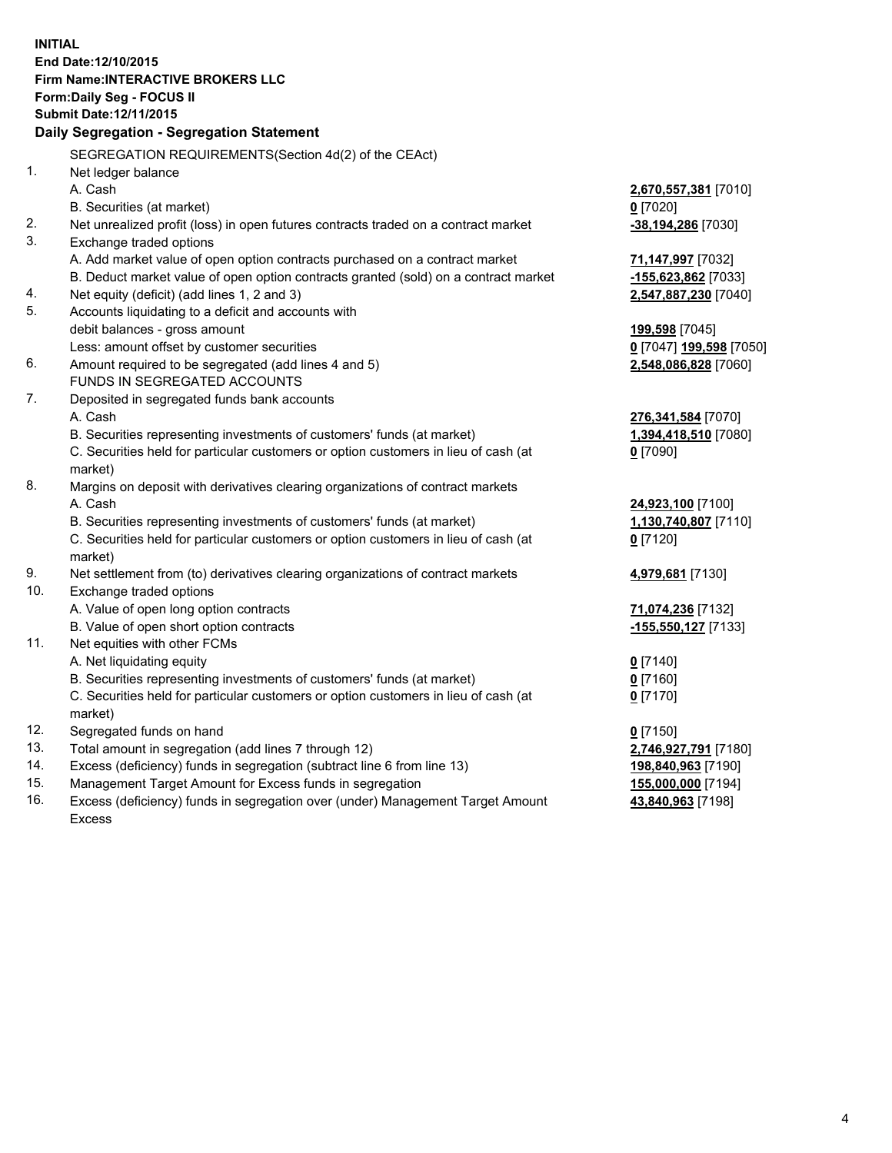**INITIAL End Date:12/10/2015 Firm Name:INTERACTIVE BROKERS LLC Form:Daily Seg - FOCUS II Submit Date:12/11/2015 Daily Segregation - Segregation Statement** SEGREGATION REQUIREMENTS(Section 4d(2) of the CEAct) 1. Net ledger balance A. Cash **2,670,557,381** [7010] B. Securities (at market) **0** [7020] 2. Net unrealized profit (loss) in open futures contracts traded on a contract market **-38,194,286** [7030] 3. Exchange traded options A. Add market value of open option contracts purchased on a contract market **71,147,997** [7032] B. Deduct market value of open option contracts granted (sold) on a contract market **-155,623,862** [7033] 4. Net equity (deficit) (add lines 1, 2 and 3) **2,547,887,230** [7040] 5. Accounts liquidating to a deficit and accounts with debit balances - gross amount **199,598** [7045] Less: amount offset by customer securities **0** [7047] **199,598** [7050] 6. Amount required to be segregated (add lines 4 and 5) **2,548,086,828** [7060] FUNDS IN SEGREGATED ACCOUNTS 7. Deposited in segregated funds bank accounts A. Cash **276,341,584** [7070] B. Securities representing investments of customers' funds (at market) **1,394,418,510** [7080] C. Securities held for particular customers or option customers in lieu of cash (at market) **0** [7090] 8. Margins on deposit with derivatives clearing organizations of contract markets A. Cash **24,923,100** [7100] B. Securities representing investments of customers' funds (at market) **1,130,740,807** [7110] C. Securities held for particular customers or option customers in lieu of cash (at market) **0** [7120] 9. Net settlement from (to) derivatives clearing organizations of contract markets **4,979,681** [7130] 10. Exchange traded options A. Value of open long option contracts **71,074,236** [7132] B. Value of open short option contracts **-155,550,127** [7133] 11. Net equities with other FCMs A. Net liquidating equity **0** [7140] B. Securities representing investments of customers' funds (at market) **0** [7160] C. Securities held for particular customers or option customers in lieu of cash (at market) **0** [7170] 12. Segregated funds on hand **0** [7150] 13. Total amount in segregation (add lines 7 through 12) **2,746,927,791** [7180] 14. Excess (deficiency) funds in segregation (subtract line 6 from line 13) **198,840,963** [7190] 15. Management Target Amount for Excess funds in segregation **155,000,000** [7194] **43,840,963** [7198]

16. Excess (deficiency) funds in segregation over (under) Management Target Amount Excess